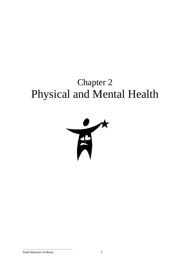# Chapter 2 Physical and Mental Health

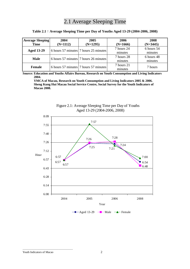# 2.1 Average Sleeping Time

| <b>Average Sleeping</b> | 2004                                  | 2005                                  | 2006       | 2008       |
|-------------------------|---------------------------------------|---------------------------------------|------------|------------|
| <b>Time</b>             | $(N=1112)$                            | $(N=1295)$                            | $(N=1666)$ | $(N=3445)$ |
| <b>Aged 13-29</b>       |                                       | 6 hours 57 minutes 7 hours 25 minutes | 7 hours 24 | 6 hours 54 |
|                         |                                       | minutes                               | minutes    |            |
| <b>Male</b>             |                                       | 6 hours 57 minutes 7 hours 26 minutes | 7 hours 28 | 6 hours 48 |
|                         |                                       |                                       | minutes    | minutes    |
|                         |                                       |                                       | 7 hours 21 | 7 hours    |
| Female                  | 6 hours 57 minutes 7 hours 57 minutes |                                       | minutes    |            |

### **Table 2.1**:**Average Sleeping Time per Day of Youths Aged 13-29 (2004-2006, 2008)**

**Source: Education and Youths Affairs Bureau, Research on Youth Consumption and Living Indicators 2004.** 

**YMCA of Macau, Research on Youth Consumption and Living Indicators 2005 & 2006. Sheng Kung Hui Macau Social Service Centre, Social Survey for the Youth Indicators of Macao 2008.** 



Figure 2.1: Average Sleeping Time per Day of Youths Aged 13-29 (2004-2006, 2008)

#### Youth Indicators of Macao 2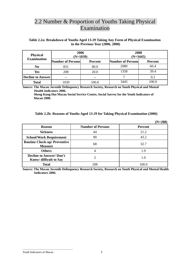# 2.2 Number & Proportion of Youths Taking Physical Examination

## **Table 2.2a: Breakdown of Youths Aged 13-29 Taking Any Form of Physical Examination in the Previous Year (2006, 2008)**

| <b>Physical</b><br><b>Examination</b> | 2006<br>$(N=1039)$       |                | 2008<br>$(N=3445)$       |                |  |
|---------------------------------------|--------------------------|----------------|--------------------------|----------------|--|
|                                       | <b>Number of Persons</b> | <b>Percent</b> | <b>Number of Persons</b> | <b>Percent</b> |  |
| N <sub>0</sub>                        | 831                      | 80.0           | 2080                     | 60.4           |  |
| Yes                                   | 208                      | 20.0           | 1358                     | 39.4           |  |
| <b>Decline to Answer</b>              | --                       | --             |                          | 0.2            |  |
| <b>Total</b>                          | 1039                     | 100.0          | 3445                     | 100.0          |  |

**Source: The Macau Juvenile Delinquency Research Society, Research on Youth Physical and Mental Health Indicators 2006.** 

**Sheng Kung Hui Macau Social Service Centre, Social Survey for the Youth Indicators of Macao 2008.** 

#### **Table 2.2b: Reasons of Youths Aged 13-29 for Taking Physical Examination (2006)**

|                                                          |                          | $(N=208)$      |
|----------------------------------------------------------|--------------------------|----------------|
| <b>Reason</b>                                            | <b>Number of Persons</b> | <b>Percent</b> |
| <b>Sickness</b>                                          | 44                       | 21.2           |
| <b>School/Work Requirement</b>                           | 90                       | 43.2           |
| <b>Routine Check-up/ Preventive</b><br><b>Measure</b>    | 68                       | 32.7           |
| <b>Others</b>                                            |                          | 1.9            |
| <b>Decline to Answer/Don't</b><br>Know/ difficult to Say |                          | 1.0            |
| <b>Total</b>                                             | 208                      | 100.0          |

**Source: The Macau Juvenile Delinquency Research Society, Research on Youth Physical and Mental Health Indicators 2006.**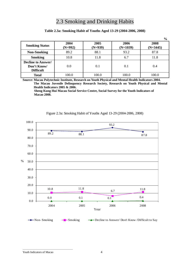# 2.3 Smoking and Drinking Habits

# **Table 2.3a: Smoking Habit of Youths Aged 13-29 (2004-2006, 2008)**

|                                                              |                   |                   |                    | $\frac{0}{0}$      |
|--------------------------------------------------------------|-------------------|-------------------|--------------------|--------------------|
| <b>Smoking Status</b>                                        | 2004<br>$(N=992)$ | 2005<br>$(N=939)$ | 2006<br>$(N=1039)$ | 2008<br>$(N=3445)$ |
| <b>Non-Smoking</b>                                           | 89.2              | 88.1              | 93.2               | 87.8               |
| <b>Smoking</b>                                               | 10.8              | 11.8              | 6.7                | 11.8               |
| <b>Decline to Answer/</b><br>Don't Know/<br><b>Difficult</b> | 0.0               | 0.1               | 0.1                | 0.4                |
| <b>Total</b>                                                 | 100.0             | 100.0             | 100.0              | 100.0              |

**Source: Macau Polytechnic Institute, Research on Youth Physical and Mental Health Indicators 2004. The Macau Juvenile Delinquency Research Society, Research on Youth Physical and Mental Health Indicators 2005 & 2006.** 

**Sheng Kung Hui Macau Social Service Centre, Social Survey for the Youth Indicators of Macao 2008.** 



### Figure 2.3a: Smoking Habit of Youths Aged 13-29 (2004-2006, 2008)

#### Youth Indicators of Macao 4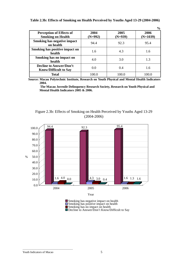|                                                                |                   |                   | $\frac{0}{0}$      |
|----------------------------------------------------------------|-------------------|-------------------|--------------------|
| <b>Perception of Effects of</b><br><b>Smoking on Health</b>    | 2004<br>$(N=992)$ | 2005<br>$(N=939)$ | 2006<br>$(N=1039)$ |
| <b>Smoking has negative impact</b><br>on health                | 94.4              | 92.3              | 95.4               |
| Smoking has positive impact on<br>health                       | 1.6               | 4.3               | 1.6                |
| Smoking has no impact on<br>health                             | 4.0               | 3.0               | 1.3                |
| <b>Decline to Answer/Don't</b><br><b>Know/Difficult to Say</b> | 0.0               | 0.4               | 1.6                |
| <b>Total</b>                                                   | 100.0             | 100.0             | 100.0              |

**Table 2.3b: Effects of Smoking on Health Perceived by Youths Aged 13-29 (2004-2006)** 

**Source: Macau Polytechnic Institute, Research on Youth Physical and Mental Health Indicators 2004.** 

 **The Macau Juvenile Delinquency Research Society, Research on Youth Physical and Mental Health Indicators 2005 & 2006.**

# Figure 2.3b: Effects of Smoking on Health Perceived by Youths Aged 13-29 (2004-2006)



Smoking has positive impact on health

Smoking has no impact on health

Decline to Answer/Don't Know/Difficult to Say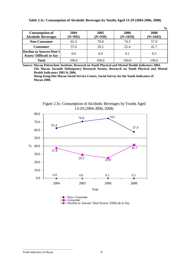|  |  |  | Table 2.3c: Consumption of Alcoholic Beverages by Youths Aged 13-29 (2004-2006, 2008) |
|--|--|--|---------------------------------------------------------------------------------------|
|  |  |  |                                                                                       |

|                                                         |                   |                   |                    | $\frac{6}{9}$      |
|---------------------------------------------------------|-------------------|-------------------|--------------------|--------------------|
| <b>Consumption of</b><br><b>Alcoholic Beverages</b>     | 2004<br>$(N=992)$ | 2005<br>$(N=939)$ | 2006<br>$(N=1039)$ | 2008<br>$(N=3445)$ |
| <b>Non-Consumer</b>                                     | 62.4              | 70.8              | 74.5               | 57.9               |
| <b>Consumer</b>                                         | 37.6              | 29.2              | 25.4               | 41.7               |
| Decline to Answer/Don't<br><b>Know/Difficult to Say</b> | 0.0               | 0.0               | 0.1                | 0.3                |
| <b>Total</b>                                            | 100.0             | 100.0             | 100.0              | 100.0              |

**Source: Macau Polytechnic Institute, Research on Youth Physical and Mental Health Indicators 2004. The Macau Juvenile Delinquency Research Society, Research on Youth Physical and Mental Health Indicators 2005 & 2006.** 

**Sheng Kung Hui Macau Social Service Centre, Social Survey for the Youth Indicators of Macao 2008.**



Figure 2.3c: Consumption of Alcoholic Beverages by Youths Aged 13-29 (2004-2006, 2008)

Youth Indicators of Macao 6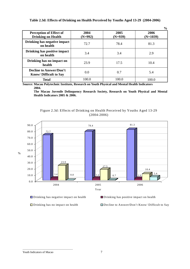|                                                                |                   |                   | $\gamma_0$         |
|----------------------------------------------------------------|-------------------|-------------------|--------------------|
| <b>Perception of Effect of</b><br><b>Drinking on Health</b>    | 2004<br>$(N=992)$ | 2005<br>$(N=939)$ | 2006<br>$(N=1039)$ |
| Drinking has negative impact<br>on health                      | 72.7              | 78.4              | 81.3               |
| Drinking has positive impact<br>on health                      | 3.4               | 3.4               | 2.9                |
| Drinking has no impact on<br>health                            | 23.9              | 17.5              | 10.4               |
| <b>Decline to Answer/Don't</b><br><b>Know/Difficult to Say</b> | 0.0               | 0.7               | 5.4                |
| <b>Total</b>                                                   | 100.0             | 100.0             | 100.0              |

# **Table 2.3d: Effects of Drinking on Health Perceived by Youths Aged 13-29 (2004-2006)**

**Source: Macau Polytechnic Institute, Research on Youth Physical and Mental Health Indicators 2004.** 

**The Macau Juvenile Delinquency Research Society, Research on Youth Physical and Mental Health Indicators 2005 & 2006.** 

Figure 2.3d: Effects of Drinking on Health Perceived by Youths Aged 13-29 (2004-2006)



Drinking has negative impact on health Drinking has positive impact on health

 $\Box$  Drinking has no impact on health  $\Box$  Decline to Answer/Don't Know/ Difficult to Say

**%**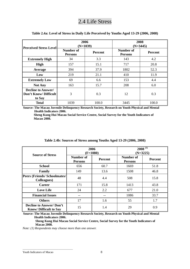# 2.4 Life Stress

| <b>Perceived Stress Level</b>                               | 2006<br>$(N=1039)$                 |                | 2008<br>$(N=3445)$          |                |  |
|-------------------------------------------------------------|------------------------------------|----------------|-----------------------------|----------------|--|
|                                                             | <b>Number of</b><br><b>Persons</b> | <b>Percent</b> | Number of<br><b>Persons</b> | <b>Percent</b> |  |
| <b>Extremely High</b>                                       | 34                                 | 3.3            | 143                         | 4.2            |  |
| High                                                        | 157                                | 15.1           | 717                         | 20.8           |  |
| Average                                                     | 394                                | 37.9           | 1802                        | 52.3           |  |
| Low                                                         | 219                                | 21.1           | 410                         | 11.9           |  |
| <b>Extremely Low</b>                                        | 69                                 | 6.6            | 153                         | 4.4            |  |
| <b>Not Any</b>                                              | 163                                | 15.7           | 208                         | 6.0            |  |
| <b>Decline to Answer/</b><br>Don't Know/Difficult<br>to Say | 3                                  | 0.3            | 12                          | 0.3            |  |
| <b>Total</b>                                                | 1039                               | 100.0          | 3445                        | 100.0          |  |

### **Table 2.4a: Level of Stress in Daily Life Perceived by Youths Aged 13-29 (2006, 2008)**

**Source: The Macau Juvenile Delinquency Research Society, Research on Youth Physical and Mental Health Indicators 2006.**

**Sheng Kung Hui Macau Social Service Centre, Social Survey for the Youth Indicators of Macao 2008.** 

| <b>Source of Stress</b>                                        | 2006<br>$(F=1080)$          |                |                             | $2008^{(1)}$<br>$(N=3225)$ |
|----------------------------------------------------------------|-----------------------------|----------------|-----------------------------|----------------------------|
|                                                                | Number of<br><b>Persons</b> | <b>Percent</b> | Number of<br><b>Persons</b> | <b>Percent</b>             |
| <b>School</b>                                                  | 656                         | 60.7           | 1669                        | 51.8                       |
| Family                                                         | 149                         | 13.6           | 1508                        | 46.8                       |
| Peers (Friends/Schoolmates/<br><b>Colleagues</b> )             | 48                          | 4.4            | 508                         | 15.8                       |
| <b>Career</b>                                                  | 171                         | 15.8           | 1413                        | 43.8                       |
| <b>Love Life</b>                                               | 24                          | 2.2            | 677                         | 21.0                       |
| <b>Financial Issues</b>                                        | --                          | --             | 1086                        | 33.7                       |
| <b>Others</b>                                                  | 17                          | 1.6            | 55                          | 1.7                        |
| <b>Decline to Answer/Don't</b><br><b>Know/Difficult to Say</b> | 15                          | 1.4            | 29                          | 0.9                        |

### **Table 2.4b: Sources of Stress among Youths Aged 13-29 (2006, 2008)**

**Source: The Macau Juvenile Delinquency Research Society, Research on Youth Physical and Mental Health Indicators 2006.**

**Sheng Kung Hui Macau Social Service Centre, Social Survey for the Youth Indicators of Macao 2008.**

*Note: (1) Respondents may choose more than one answer.*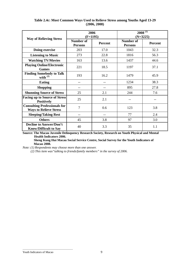|                                                                      |                                    | 2006<br>$(F=1195)$ |                                    | $2008^{(1)}$<br>$(N=3225)$ |  |
|----------------------------------------------------------------------|------------------------------------|--------------------|------------------------------------|----------------------------|--|
| <b>Way of Relieving Stress</b>                                       | <b>Number of</b><br><b>Persons</b> | Percent            | <b>Number of</b><br><b>Persons</b> | Percent                    |  |
| Doing exercise                                                       | 203                                | 17.0               | 1043                               | 32.3                       |  |
| <b>Listening to Music</b>                                            | 273                                | 22.8               | 1816                               | 56.3                       |  |
| <b>Watching TV/Movies</b>                                            | 163                                | 13.6               | 1437                               | 44.6                       |  |
| <b>Playing Online/Electronic</b><br><b>Games</b>                     | 221                                | 18.5               | 1197                               | 37.1                       |  |
| <b>Finding Somebody to Talk</b><br>with $(2)$                        | 193                                | 16.2               | 1479                               | 45.9                       |  |
| <b>Eating</b>                                                        | --                                 | --                 | 1234                               | 38.3                       |  |
| <b>Shopping</b>                                                      | --                                 | --                 | 895                                | 27.8                       |  |
| <b>Shunning Source of Stress</b>                                     | 25                                 | 2.1                | 244                                | 7.6                        |  |
| <b>Facing up to Source of Stress</b><br><b>Positively</b>            | 25                                 | 2.1                | --                                 | --                         |  |
| <b>Consulting Professionals for</b><br><b>Ways to Relieve Stress</b> | $\overline{7}$                     | 0.6                | 123                                | 3.8                        |  |
| <b>Sleeping/Taking Rest</b>                                          | $-$                                | --                 | 77                                 | 2.4                        |  |
| <b>Others</b>                                                        | 45                                 | 3.8                | 97                                 | 3.0                        |  |
| <b>Decline to Answer/Don't</b><br><b>Know/Difficult to Say</b>       | 40                                 | 3.3                | 35                                 | 1.1                        |  |

# **Table 2.4c: Most Common Ways Used to Relieve Stress among Youths Aged 13-29 (2006, 2008)**

**Source: The Macau Juvenile Delinquency Research Society, Research on Youth Physical and Mental Health Indicators 2006.**

**Sheng Kung Hui Macau Social Service Centre, Social Survey for the Youth Indicators of Macao 2008.** 

*Note: (1) Respondents may choose more than one answer.* 

 *(2) This item was"talking to friends/family members" in the survey of 2006.* 

Youth Indicators of Macao 9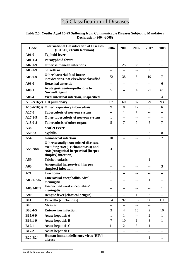# 2.5 Classification of Diseases

## **Table 2.5: Youths Aged 15-29 Suffering from Communicable Diseases Subject to Mandatory Declaration (2004-2008)**

| Code           | <b>International Classification of Diseases</b><br>(ICD-10) (Tenth Revision)                                                                    | 2004                     | 2005                     | 2006                     | 2007           | 2008           |
|----------------|-------------------------------------------------------------------------------------------------------------------------------------------------|--------------------------|--------------------------|--------------------------|----------------|----------------|
| A01.0          | <b>Typhoid fever</b>                                                                                                                            | $\mathbf{1}$             | $- -$                    | $-$                      | --             |                |
| A01.1-4        | <b>Paratyphoid fevers</b>                                                                                                                       | $-$                      | 1                        | $-$                      | --             |                |
| $A02.0 - 9$    | Other salmonella infections                                                                                                                     | $-$                      | 25                       | 35                       | $\overline{2}$ | --             |
| A03.0-9        | <b>Shigellosis</b>                                                                                                                              | $- -$                    | $- -$                    | $\overline{\phantom{a}}$ | $\overline{2}$ | 1              |
| $A05.0 - 9$    | Other bacterial food borne<br>intoxications, not elsewhere classified                                                                           | 72                       | 38                       | 8                        | 19             | $\tau$         |
| A08.0          | <b>Rotaviral enteritis</b>                                                                                                                      | $-$                      | $- -$                    | $-$                      | $-$            | 6              |
| A08.1          | Acute gastroenteropathy due to<br><b>Norwalk agent</b>                                                                                          | 5                        | $-$                      | 4                        | 21             | 61             |
| A08.4          | Viral intestinal infection, unspecified                                                                                                         | $-$                      | --                       | $-$                      | $-$            | 3              |
| $A15-A16(2)$   | <b>T.B</b> pulmonary                                                                                                                            | 67                       | 60                       | 87                       | 79             | 93             |
| $A15-A16(3)$   | Other respiratory tuberculosis                                                                                                                  | 9                        | 8                        | 12                       | 5              | 6              |
| A17.0          | Tuberculosis of nervous system                                                                                                                  | $-$                      | 1                        | 1                        | $-$            | --             |
| A17.1-9        | Other tuberculosis of nervous system                                                                                                            | $\mathbf{1}$             |                          |                          |                |                |
| A18.0-8        | Tuberculosis of other organs                                                                                                                    | 5                        | 7                        | 9                        | 5              | 7              |
| A38            | <b>Scarlet Fever</b>                                                                                                                            | $-$                      | --                       | --                       | $-$            | $\mathbf{1}$   |
| A50-53         | <b>Syphilis</b>                                                                                                                                 | $- -$                    | 1                        | $-$                      | $\overline{2}$ | 8              |
| A54            | <b>Gonococcal infection</b>                                                                                                                     | 10                       | $-$                      | $- -$                    | $\overline{7}$ | $\overline{7}$ |
| A55-A64        | Other sexually transmitted diseases,<br>excluding A59 (Trichomoniasis) and<br><b>A60 (Anogenital herpesviral [herpes</b><br>simplex] infection) | 4                        |                          |                          |                | 1              |
| A59            | <b>Trichomoniasis</b>                                                                                                                           | $-$                      |                          |                          | $\mathbf{1}$   |                |
| A60            | <b>Anogenital herpesviral [herpes</b><br>simplex] infection                                                                                     | $\overline{\phantom{m}}$ | $-$                      | $-$                      | $-$            | 3              |
| A71            | <b>Trachoma</b>                                                                                                                                 | 1                        | --                       | --                       | --             |                |
| A85.0-A87      | Enteroviral encephalitis/viral<br>meningitis                                                                                                    | $\qquad \qquad -$        | --                       | $-$                      | 1              | --             |
| A86/A87.9      | Unspecified viral encephalitis/<br>meningitis                                                                                                   | $-\,-$                   | $\qquad \qquad -$        |                          | --             | $\mathbf{1}$   |
| A90            | Dengue fever [classical dengue]                                                                                                                 | $- -$                    | --                       | 1                        | $\overline{2}$ | --             |
| <b>B01</b>     | Varicella [chickenpox]                                                                                                                          | 54                       | 92                       | 102                      | 96             | 111            |
| <b>B05</b>     | <b>Measles</b>                                                                                                                                  | $\overline{\phantom{a}}$ | $\overline{\phantom{m}}$ | $- -$                    | $-$            | $\mathbf{1}$   |
| <b>B08.4-5</b> | <b>Enterovirus infection</b>                                                                                                                    | 3                        | 4                        | 15                       | $\overline{2}$ | 10             |
| <b>B15.0-9</b> | <b>Acute hepatitis A</b>                                                                                                                        | $\mathbf{1}$             | $\mathbf{1}$             | --                       | $\overline{2}$ | $\mathbf{1}$   |
| <b>B16.1-9</b> | <b>Acute hepatitis B</b>                                                                                                                        | $\overline{7}$           | 10                       | $\mathbf{1}$             | 3              | $\mathbf{1}$   |
| <b>B17.1</b>   | <b>Acute hepatitis C</b>                                                                                                                        | 11                       | $\overline{2}$           | 3                        | $\mathbf{1}$   | $\mathbf{1}$   |
| <b>B17.2</b>   | <b>Acute hepatitis E</b>                                                                                                                        | $\mathbf{1}$             | --                       | --                       | --             | --             |
| <b>B20-B24</b> | Human immunodeficiency virus [HIV]<br>disease                                                                                                   | $- -$                    | --                       | --                       | 1              | $\mathbf{1}$   |

#### Youth Indicators of Macao 10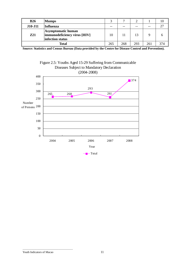| <b>B26</b> | <b>Mumps</b>                                                           |     |     |      |     |     |
|------------|------------------------------------------------------------------------|-----|-----|------|-----|-----|
| J10-J11    | Influenza                                                              | --  | --  | $ -$ | --  | つつ  |
| <b>Z21</b> | Asymptomatic human<br>immunodeficiency virus [HIV]<br>infection status | 10  | 11  |      |     |     |
|            | Total                                                                  | 265 | 268 | 293  | 261 | 374 |

**Source: Statistics and Census Bureau (Data provided by the Centre for Disease Control and Prevention).**



### Youth Indicators of Macao 11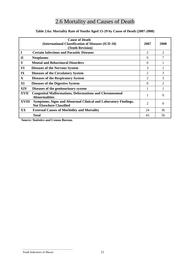# 2.6 Mortality and Causes of Death

|              | <b>Cause of Death</b><br>(International Classification of Diseases (ICD-10)<br>(Tenth Revision)   | 2007           | 2008     |
|--------------|---------------------------------------------------------------------------------------------------|----------------|----------|
| 1            | <b>Certain Infectious and Parasitic Diseases</b>                                                  | $\overline{2}$ | 2        |
| $\mathbf H$  | <b>Neoplasms</b>                                                                                  | 6              | 7        |
| V            | <b>Mental and Behavioural Disorders</b>                                                           | $\Omega$       |          |
| VI           | <b>Diseases of the Nervous System</b>                                                             | 3              |          |
| IX           | <b>Diseases of the Circulatory System</b>                                                         | $\overline{2}$ | 3        |
| X            | <b>Diseases of the Respiratory System</b>                                                         | $\overline{c}$ | 3        |
| XI           | <b>Diseases of the Digestive System</b>                                                           | 0              | 2        |
| <b>XIV</b>   | Diseases of the genitourinary system                                                              |                |          |
| <b>XVII</b>  | <b>Congenital Malformations, Deformations and Chromosomal</b><br><b>Abnormalities</b>             |                | $\Omega$ |
| <b>XVIII</b> | Symptoms, Signs and Abnormal Clinical and Laboratory Findings,<br><b>Not Elsewhere Classified</b> | $\overline{2}$ | $\Omega$ |
| XX           | <b>External Causes of Morbidity and Mortality</b>                                                 | 24             | 36       |
|              | <b>Total</b>                                                                                      | 43             | 56       |

# **Table 2.6a: Mortality Rate of Youths Aged 15-29 by Cause of Death (2007-2008)**

**Source: Statistics and Census Bureau.**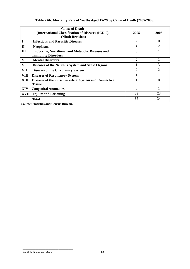# **Table 2.6b: Mortality Rate of Youths Aged 15-29 by Cause of Death (2005-2006)**

|              | <b>Cause of Death</b><br>(International Classification of Diseases (ICD-9)<br>(Ninth Revision) | 2005           | 2006           |
|--------------|------------------------------------------------------------------------------------------------|----------------|----------------|
|              | <b>Infectious and Parasitic Diseases</b>                                                       | $\overline{2}$ | $\theta$       |
| $\mathbf{I}$ | <b>Neoplasms</b>                                                                               | 4              | 2              |
| III          | <b>Endocrine, Nutritional and Metabolic Diseases and</b><br><b>Immunity Disorders</b>          | $\theta$       |                |
| V            | <b>Mental Disorders</b>                                                                        | $\overline{2}$ |                |
| VI           | Diseases of the Nervous System and Sense Organs                                                |                | 3              |
| VII          | <b>Diseases of the Circulatory System</b>                                                      | 2              | $\mathfrak{D}$ |
| VIII         | <b>Diseases of Respiratory System</b>                                                          |                |                |
| XIII         | Diseases of the musculoskeletal System and Connective<br><b>Tissue</b>                         |                | 0              |
| XIV          | <b>Congenital Anomalies</b>                                                                    | $\Omega$       |                |
| <b>XVII</b>  | <b>Injury and Poisoning</b>                                                                    | 22             | 23             |
|              | <b>Total</b>                                                                                   | 35             | 34             |

**Source: Statistics and Census Bureau.**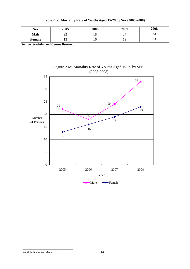| Table 2.6c: Mortality Rate of Youths Aged 15-29 by Sex (2005-2008) |  |  |  |  |  |
|--------------------------------------------------------------------|--|--|--|--|--|
|--------------------------------------------------------------------|--|--|--|--|--|

| <b>Sex</b>  | 2005     | 2006 | 2007 | 2008 |
|-------------|----------|------|------|------|
| <b>Male</b> | n c<br>∸ | ⊥ ∪  | 24   | ر ر  |
| Female      | ⊥ື       | ιv   |      | رے   |

**Source: Statistics and Census Bureau.** 



# Figure 2.6c: Mortality Rate of Youths Aged 15-29 by Sex (2005-2008)

Youth Indicators of Macao 14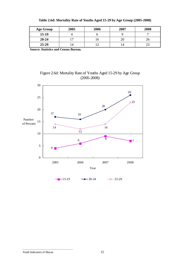| <b>Age Group</b> | 2005 | 2006 | 2007 | 2008 |
|------------------|------|------|------|------|
| $15-19$          |      |      |      |      |
| $20 - 24$        |      |      |      | ۷b   |
| $25-29$          | 14   |      |      |      |

**Source: Statistics and Census Bureau.** 



# Figure 2.6d: Mortality Rate of Youths Aged 15-29 by Age Group (2005-2008)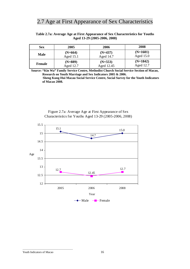# 2.7 Age at First Appearance of Sex Characteristics

### **Table 2.7a: Average Age at First Appearance of Sex Characteristics for Youths Aged 13-29 (2005-2006, 2008)**

| <b>Sex</b>    | 2005      | 2006       | 2008        |
|---------------|-----------|------------|-------------|
| Male          | $(N=664)$ | $(N=437)$  | $(N=1601)$  |
|               | Aged 15.1 | Aged 14.7  | Aged $15.0$ |
| <b>Female</b> | $(N=889)$ | $(N=553)$  | $(N=1842)$  |
|               | Aged 12.7 | Aged 12.45 | Aged 12.7   |

**Source: "Kin Wa" Family Service Centre, Methodist Church Social Service Section of Macao, Research on Youth Marriage and Sex Indicators 2005 & 2006. Sheng Kung Hui Macau Social Service Centre, Social Survey for the Youth Indicators** 

 **of Macao 2008.** 

Figure 2.7a: Average Age at First Appearance of Sex Characteristics for Youths Aged 13-29 (2005-2006, 2008)

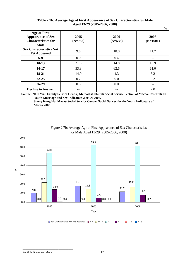# **Table 2.7b: Average Age at First Appearance of Sex Characteristics for Male Aged 13-29 (2005-2006, 2008)**

**%** 

|                                                                                              |                   |                   | 70                 |
|----------------------------------------------------------------------------------------------|-------------------|-------------------|--------------------|
| <b>Age at First</b><br><b>Appearance of Sex</b><br><b>Characteristics for</b><br><b>Male</b> | 2005<br>$(N=736)$ | 2006<br>$(N=533)$ | 2008<br>$(N=1601)$ |
| <b>Sex Characteristics Not</b><br><b>Yet Appeared</b>                                        | 9.8               | 18.0              | 11.7               |
| $6-9$                                                                                        | 0.0               | 0.4               |                    |
| $10-13$                                                                                      | 21.5              | 14.8              | 16.9               |
| 14-17                                                                                        | 53.8              | 62.5              | 61.0               |
| 18-21                                                                                        | 14.0              | 4.3               | 8.2                |
| $22 - 25$                                                                                    | 0.7               | 0.0               | 0.2                |
| $26 - 29$                                                                                    | 0.3               | 0.0               | --                 |
| <b>Decline to Answer</b>                                                                     |                   |                   | 2.0                |

**Source: "Kin Wa" Family Service Centre, Methodist Church Social Service Section of Macao, Research on Youth Marriage and Sex Indicators 2005 & 2006.** 

**Sheng Kung Hui Macau Social Service Centre, Social Survey for the Youth Indicators of Macao 2008.**



# Figure 2.7b: Average Age at First Appearance of Sex Characteristics for Male Aged 13-29 (2005-2006, 2008)

Sex Characteristics Not Yet Appeared  $\Box$  6-9  $\Box$  10-13  $\Box$  14-17  $\Box$  18-21  $\Box$  22-25  $\Box$  26-29

Youth Indicators of Macao 17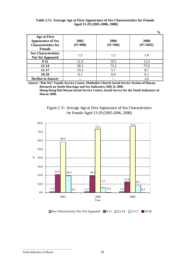### **Table 2.7c: Average Age at First Appearance of Sex Characteristics for Female Aged 13-29 (2005-2006, 2008)**

|                                                                                                |                   |                   | $\frac{6}{9}$      |
|------------------------------------------------------------------------------------------------|-------------------|-------------------|--------------------|
| <b>Age at First</b><br><b>Appearance of Sex</b><br><b>Characteristics for</b><br><b>Female</b> | 2005<br>$(N=900)$ | 2006<br>$(N=560)$ | 2008<br>$(N=1842)$ |
| <b>Sex Characteristics</b><br><b>Not Yet Appeared</b>                                          | 1.2               | 1.2               | 1.0                |
| $9-11$                                                                                         | 21.0              | 19.5              | 12.4               |
| $12 - 14$                                                                                      | 58.3              | 73.2              | 75.9               |
| $15 - 17$                                                                                      | 19.3              | 5.7               | 8.7                |
| $18 - 20$                                                                                      | 0.1               | 0.4               | 0.1                |
| <b>Decline to Answer</b>                                                                       |                   | --                | 2.0                |

**Source: "Kin Wa" Family Service Centre, Methodist Church Social Service Section of Macao, Research on Youth Marriage and Sex Indicators 2005 & 2006.** 

 **Sheng Kung Hui Macau Social Service Centre, Social Survey for the Youth Indicators of Macao 2008.** 





Sex Characteristics Not Yet Appeared  $\Box$  9-11  $\Box$  12-14  $\Box$  15-17  $\Box$  18-20

#### Youth Indicators of Macao 18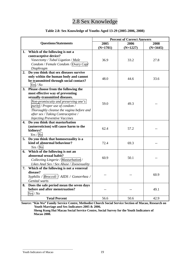# 2.8 Sex Knowledge

# **Table 2.8: Sex Knowledge of Youths Aged 13-29 (2005-2006, 2008)**

|    |                                                           | <b>Percent of Correct Answers</b> |            |            |  |
|----|-----------------------------------------------------------|-----------------------------------|------------|------------|--|
|    | <b>Questions/Statements</b>                               | 2005                              | 2006       | 2008       |  |
|    |                                                           | $(N=1701)$                        | $(N=1227)$ | $(N=3445)$ |  |
| 1. | Which of the following is not a                           |                                   |            |            |  |
|    | contraceptive device?                                     |                                   |            |            |  |
|    | Vasectomy / Tubal Ligation / Male                         | 36.9                              | 33.2       | 27.8       |  |
|    | Condom / Female Condom / Ovary Cap/                       |                                   |            |            |  |
|    | Diaphragm                                                 |                                   |            |            |  |
| 2. | Do you think that sex diseases survive                    |                                   |            |            |  |
|    | only within the human body and cannot                     | 48.0                              | 44.6       | 33.6       |  |
|    | be transmitted through social contact?                    |                                   |            |            |  |
|    | Yes / No                                                  |                                   |            |            |  |
| 3. | Please choose from the following the                      |                                   |            |            |  |
|    | most effective way of preventing                          |                                   |            |            |  |
|    | sexually-transmitted diseases.                            |                                   |            |            |  |
|    | Non-promiscuity and preserving one's                      | 59.0                              | 49.3       |            |  |
|    | purity / Proper use of condom /                           |                                   |            |            |  |
|    | Thoroughly cleanse the vagina before and                  |                                   |            |            |  |
|    | after sex / Taking Contraceptive /                        |                                   |            |            |  |
|    | <b>Injecting Preventive Vaccines</b>                      |                                   |            |            |  |
| 4. | Do you think that masturbation                            |                                   |            |            |  |
|    | (autoeroticism) will cause harm to the                    | 62.4                              | 57.2       |            |  |
|    | kidneys?                                                  |                                   |            |            |  |
|    | Yes / No                                                  |                                   |            |            |  |
| 5. | Do you think that homosexuality is a                      |                                   |            |            |  |
|    | kind of abnormal behaviour?                               | 72.4                              | 69.3       |            |  |
|    | Yes / No                                                  |                                   |            |            |  |
| 6. | Which of the following is not an                          |                                   |            |            |  |
|    | abnormal sexual habit?                                    | 60.9                              | 50.1       |            |  |
|    | Collecting Lingerie / Masturbation /                      |                                   |            |            |  |
|    | Likes Anal Sex / Sex Abuse / Zoosexuality                 |                                   |            |            |  |
| 7. | Which of the following is not a venereal<br>disease?      |                                   |            |            |  |
|    |                                                           |                                   |            | 60.9       |  |
|    | Syphilis / Broccoli   AIDS / Gonorrhea /                  |                                   |            |            |  |
| 8. | Genital warts<br>Does the safe period mean the seven days |                                   |            |            |  |
|    | before and after menstruation?                            |                                   |            | 49.1       |  |
|    | Yes/No                                                    |                                   |            |            |  |
|    | <b>Total Percent</b>                                      | 56.6                              | 50.6       | 42.9       |  |
|    |                                                           |                                   |            |            |  |

**Source: "Kin Wa" Family Service Centre, Methodist Church Social Service Section of Macao, Research on Youth Marriage and Sex Indicators 2005 & 2006.** 

**Sheng Kung Hui Macau Social Service Centre, Social Survey for the Youth Indicators of Macao 2008.**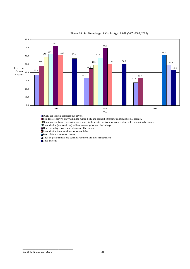

#### Figure 2.8: Sex Knowledge of Youths Aged 13-29 (2005-2006, 2008)

Ovary cap is not a contraceptive device.

Sex diseases survive only within the human body and cannot be transmitted through social contact.

Non-promiscuity and preserving one's purity is the most effective way to prevent sexually-transmitted diseases.

Masturbation (autoeroticism) will not cause any harm to the kidneys.

Homosexuality is not a kind of abnormal behaviour.

Masturbation is not an abnormal sexual habit.

Broccoli is not venereal disease

The safe period means the seven days before and after manstruation

**Total Percent** 

Youth Indicators of Macao 20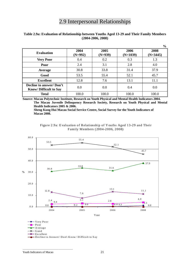# 2.9 Interpersonal Relationships

|                                                                |                   |                   |                    | $\frac{0}{0}$      |
|----------------------------------------------------------------|-------------------|-------------------|--------------------|--------------------|
| <b>Evaluation</b>                                              | 2004<br>$(N=992)$ | 2005<br>$(N=939)$ | 2006<br>$(N=1039)$ | 2008<br>$(N=3445)$ |
| <b>Very Poor</b>                                               | 0.4               | 0.2               | 0.3                | 1.3                |
| Poor                                                           | 2.4               | 3.1               | 2.8                | 4.0                |
| Average                                                        | 30.8              | 33.8              | 31.4               | 37.9               |
| Good                                                           | 53.5              | 55.4              | 52.1               | 45.7               |
| <b>Excellent</b>                                               | 12.8              | 7.6               | 13.1               | 11.1               |
| <b>Decline to answer/Don't</b><br><b>Know/Difficult to Say</b> | 0.0               | 0.0               | 0.4                | 0.0                |
| <b>Total</b>                                                   | 100.0             | 100.0             | 100.0              | 100.0              |

### **Table 2.9a: Evaluation of Relationship between Youths Aged 13-29 and Their Family Members (2004-2006, 2008)**

**Source: Macau Polytechnic Institute, Research on Youth Physical and Mental Health Indicators 2004. The Macau Juvenile Delinquency Research Society, Research on Youth Physical and Mental Health Indicators 2005 & 2006.**

**Sheng Kung Hui Macau Social Service Centre, Social Survey for the Youth Indicators of Macao 2008.**



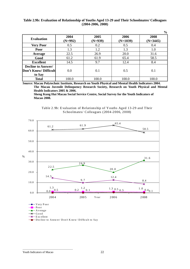### **Table 2.9b: Evaluation of Relationship of Youths Aged 13-29 and Their Schoolmates/ Colleagues (2004-2006, 2008)**

|                                                              |                   |                   |                    | $\frac{6}{9}$      |
|--------------------------------------------------------------|-------------------|-------------------|--------------------|--------------------|
| <b>Evaluation</b>                                            | 2004<br>$(N=992)$ | 2005<br>$(N=939)$ | 2006<br>$(N=1039)$ | 2008<br>$(N=3445)$ |
| <b>Very Poor</b>                                             | 0.5               | 0.2               | 0.5                | 0.4                |
| Poor                                                         | 1.3               | 1.2               | 1.3                | 1.0                |
| Average                                                      | 22.5              | 26.9              | 20.0               | 31.6               |
| Good                                                         | 61.2              | 61.9              | 65.4               | 58.5               |
| <b>Excellent</b>                                             | 14.5              | 9.7               | 12.4               | 8.4                |
| <b>Decline to Answer/</b><br>Don't Know/ Difficult<br>to Say | 0.0               | 0.1               | 0.5                | 0.1                |
| <b>Total</b>                                                 | 100.0             | 100.0             | 100.0              | 100.0              |

**Source: Macau Polytechnic Institute, Research on Youth Physical and Mental Health Indicators 2004. The Macau Juvenile Delinquency Research Society, Research on Youth Physical and Mental Health Indicators 2005 & 2006.**

**Sheng Kung Hui Macau Social Service Centre, Social Survey for the Youth Indicators of Macao 2008.**



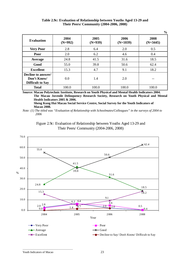|                                                              |                   |                   |                    | $\frac{0}{0}$      |
|--------------------------------------------------------------|-------------------|-------------------|--------------------|--------------------|
| <b>Evaluation</b>                                            | 2004<br>$(N=992)$ | 2005<br>$(N=939)$ | 2006<br>$(N=1039)$ | 2008<br>$(N=3445)$ |
| <b>Very Poor</b>                                             | 2.8               | 6.4               | 2.0                | 0.5                |
| Poor                                                         | 2.0               | 6.2               | 4.6                | 0.4                |
| Average                                                      | 24.8              | 41.5              | 31.6               | 18.5               |
| Good                                                         | 55.0              | 39.8              | 50.6               | 62.4               |
| <b>Excellent</b>                                             | 15.3              | 4.7               | 9.1                | 18.2               |
| Decline to answer/<br>Don't Know/<br><b>Difficult to Say</b> | 0.0               | 1.4               | 2.0                |                    |
| <b>Total</b>                                                 | 100.0             | 100.0             | 100.0              | 100.0              |

| Table 2.9c: Evaluation of Relationship between Youths Aged 13-29 and |  |
|----------------------------------------------------------------------|--|
| <b>Their Peers/ Community (2004-2006, 2008)</b>                      |  |

**Source: Macau Polytechnic Institute, Research on Youth Physical and Mental Health Indicators 2004. The Macau Juvenile Delinquency Research Society, Research on Youth Physical and Mental Health Indicators 2005 & 2006.**

**Sheng Kung Hui Macau Social Service Centre, Social Survey for the Youth Indicators of Macao 2008.**

*Note: (1) The titled was "Evaluation of Relationship with Schoolmates/Colleagues" in the surveys of 2004 to 2006* 



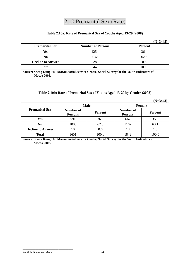# 2.10 Premarital Sex (Rate)

# **Table 2.10a: Rate of Premarital Sex of Youths Aged 13-29 (2008)**

|                          |                          | $(N=3445)$     |
|--------------------------|--------------------------|----------------|
| <b>Premarital Sex</b>    | <b>Number of Persons</b> | <b>Percent</b> |
| Yes                      | 1254                     | 36.4           |
| No                       | 2163                     | 62.8           |
| <b>Decline to Answer</b> | 28                       | $0.8\,$        |
| <b>Total</b>             | 3445                     | 100.0          |

**Source: Sheng Kung Hui Macau Social Service Centre, Social Survey for the Youth Indicators of Macao 2008.** 

### **Table 2.10b: Rate of Premarital Sex of Youths Aged 13-29 by Gender (2008)**

|                          |                                    |                |                             | $(N=3443)$ |
|--------------------------|------------------------------------|----------------|-----------------------------|------------|
|                          | <b>Male</b>                        |                | <b>Female</b>               |            |
| <b>Premarital Sex</b>    | <b>Number of</b><br><b>Persons</b> | <b>Percent</b> | Number of<br><b>Persons</b> | Percent    |
| <b>Yes</b>               | 591                                | 36.9           | 662                         | 35.9       |
| N <sub>0</sub>           | 1000                               | 62.5           | 1162                        | 63.1       |
| <b>Decline to Answer</b> | 10                                 | 0.6            | 18                          | 1.0        |
| <b>Total</b>             | 1601                               | 100.0          | 1842                        | 100.0      |

**Source: Sheng Kung Hui Macau Social Service Centre, Social Survey for the Youth Indicators of Macao 2008.**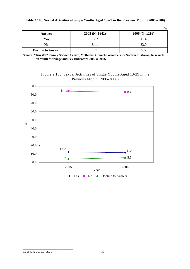|                          |                 | $\frac{0}{0}$   |
|--------------------------|-----------------|-----------------|
| Answer                   | $2005$ (N=1642) | $2006$ (N=1216) |
| Yes                      | 12.2            | 11.4            |
| No                       | 84.1            | 83.0            |
| <b>Decline to Answer</b> | 37              | 5.5             |

# **Table 2.10c: Sexual Activities of Single Youths Aged 13-29 in the Previous Month (2005-2006)**

**Source: "Kin Wa" Family Service Centre, Methodist Church Social Service Section of Macao, Research on Youth Marriage and Sex Indicators 2005 & 2006.** 



Figure 2.10c: Sexual Activities of Single Youths Aged 13-29 in the Previous Month (2005-2006)

Youth Indicators of Macao 25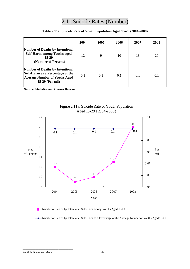# 2.11 Suicide Rates (Number)

|                                                                                                                                       | 2004 | 2005 | 2006 | 2007 | 2008 |
|---------------------------------------------------------------------------------------------------------------------------------------|------|------|------|------|------|
| <b>Number of Deaths by Intentional</b><br><b>Self-Harm among Youths aged</b><br>15-29<br>(Number of Persons)                          | 12   | 9    | 10   | 13   | 20   |
| <b>Number of Deaths by Intentional</b><br>Self-Harm as a Percentage of the<br><b>Average Number of Youths Aged</b><br>15-29 (Per mil) | 0.1  | 0.1  | 0.1  | 0.1  | 0.1  |

# **Table 2.11a: Suicide Rate of Youth Population Aged 15-29 (2004-2008)**

**Source: Statistics and Census Bureau.** 



Figure 2.11a: Suicide Rate of Youth Population Aged 15-29 (2004-2008)

-Number of Deaths by Intentional Self-Harm among Youths Aged 15-29

Number of Deaths by Intentional Self-Harm as a Percentage of the Average Number of Youths Aged 15-29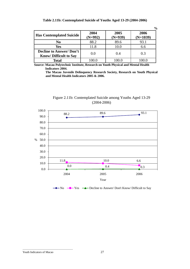|                                                                |                   |                   | $\frac{6}{10}$     |
|----------------------------------------------------------------|-------------------|-------------------|--------------------|
| <b>Has Contemplated Suicide</b>                                | 2004<br>$(N=992)$ | 2005<br>$(N=939)$ | 2006<br>$(N=1039)$ |
| N <sub>0</sub>                                                 | 88.2              | 89.6              | 93.1               |
| Yes                                                            | 11.8              | 10.0              | 6.6                |
| <b>Decline to Answer/Don't</b><br><b>Know/Difficult to Say</b> | 0.0               | 0.4               | 0.3                |
| <b>Total</b>                                                   | 100.0             | 100.0             | 100.0              |

**Table 2.11b: Contemplated Suicide of Youths Aged 13-29 (2004-2006)** 

**Source: Macau Polytechnic Institute, Research on Youth Physical and Mental Health Indicators 2004.** 

 **The Macau Juvenile Delinquency Research Society, Research on Youth Physical and Mental Health Indicators 2005 & 2006.** 





 $\rightarrow$  No  $\rightarrow$  Yes  $\rightarrow$  Decline to Answer/ Don't Know/ Difficult to Say